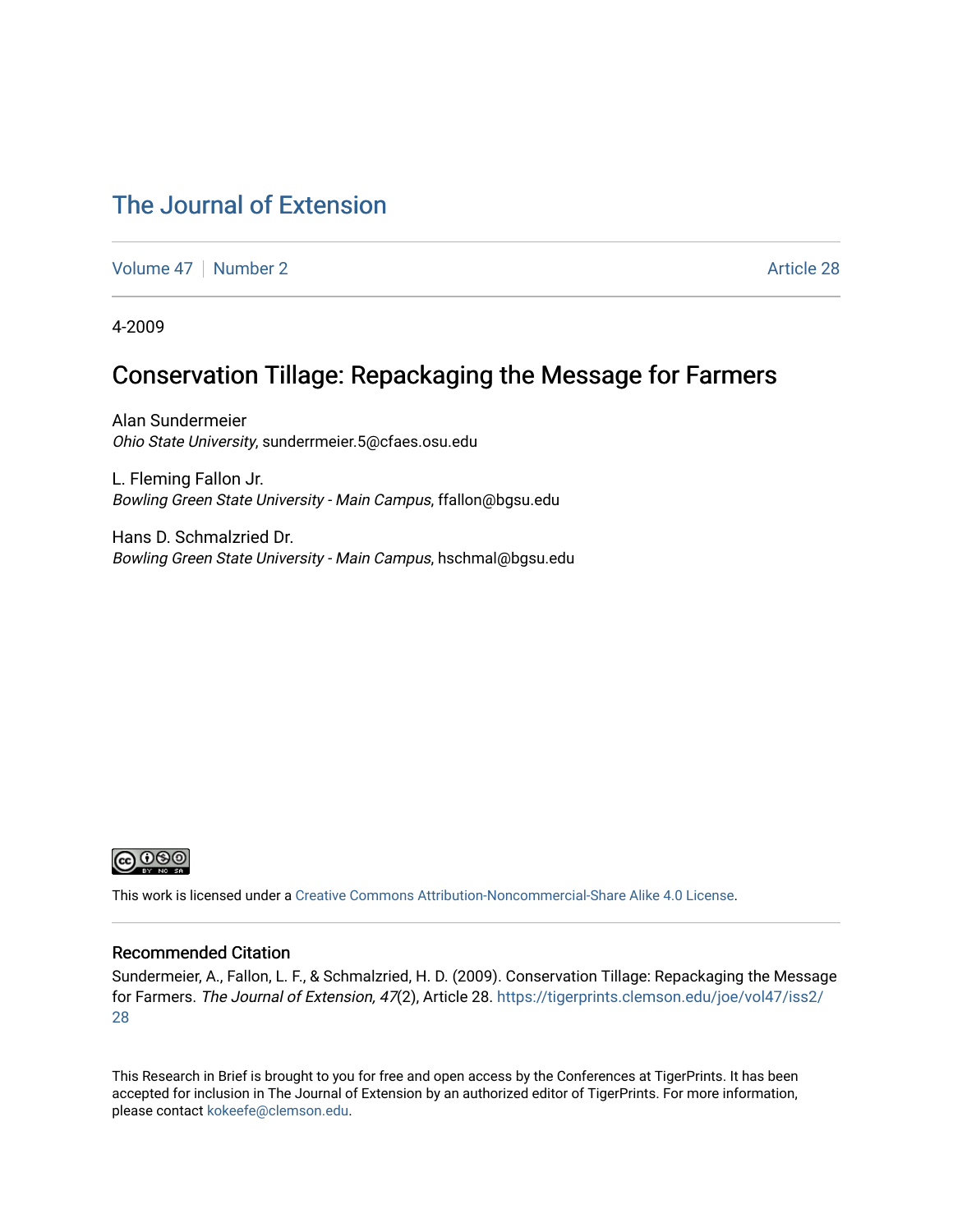## [The Journal of Extension](https://tigerprints.clemson.edu/joe)

[Volume 47](https://tigerprints.clemson.edu/joe/vol47) | [Number 2](https://tigerprints.clemson.edu/joe/vol47/iss2) Article 28

4-2009

## Conservation Tillage: Repackaging the Message for Farmers

Alan Sundermeier Ohio State University, sunderrmeier.5@cfaes.osu.edu

L. Fleming Fallon Jr. Bowling Green State University - Main Campus, ffallon@bgsu.edu

Hans D. Schmalzried Dr. Bowling Green State University - Main Campus, hschmal@bgsu.edu



This work is licensed under a [Creative Commons Attribution-Noncommercial-Share Alike 4.0 License.](https://creativecommons.org/licenses/by-nc-sa/4.0/)

#### Recommended Citation

Sundermeier, A., Fallon, L. F., & Schmalzried, H. D. (2009). Conservation Tillage: Repackaging the Message for Farmers. The Journal of Extension, 47(2), Article 28. [https://tigerprints.clemson.edu/joe/vol47/iss2/](https://tigerprints.clemson.edu/joe/vol47/iss2/28) [28](https://tigerprints.clemson.edu/joe/vol47/iss2/28)

This Research in Brief is brought to you for free and open access by the Conferences at TigerPrints. It has been accepted for inclusion in The Journal of Extension by an authorized editor of TigerPrints. For more information, please contact [kokeefe@clemson.edu](mailto:kokeefe@clemson.edu).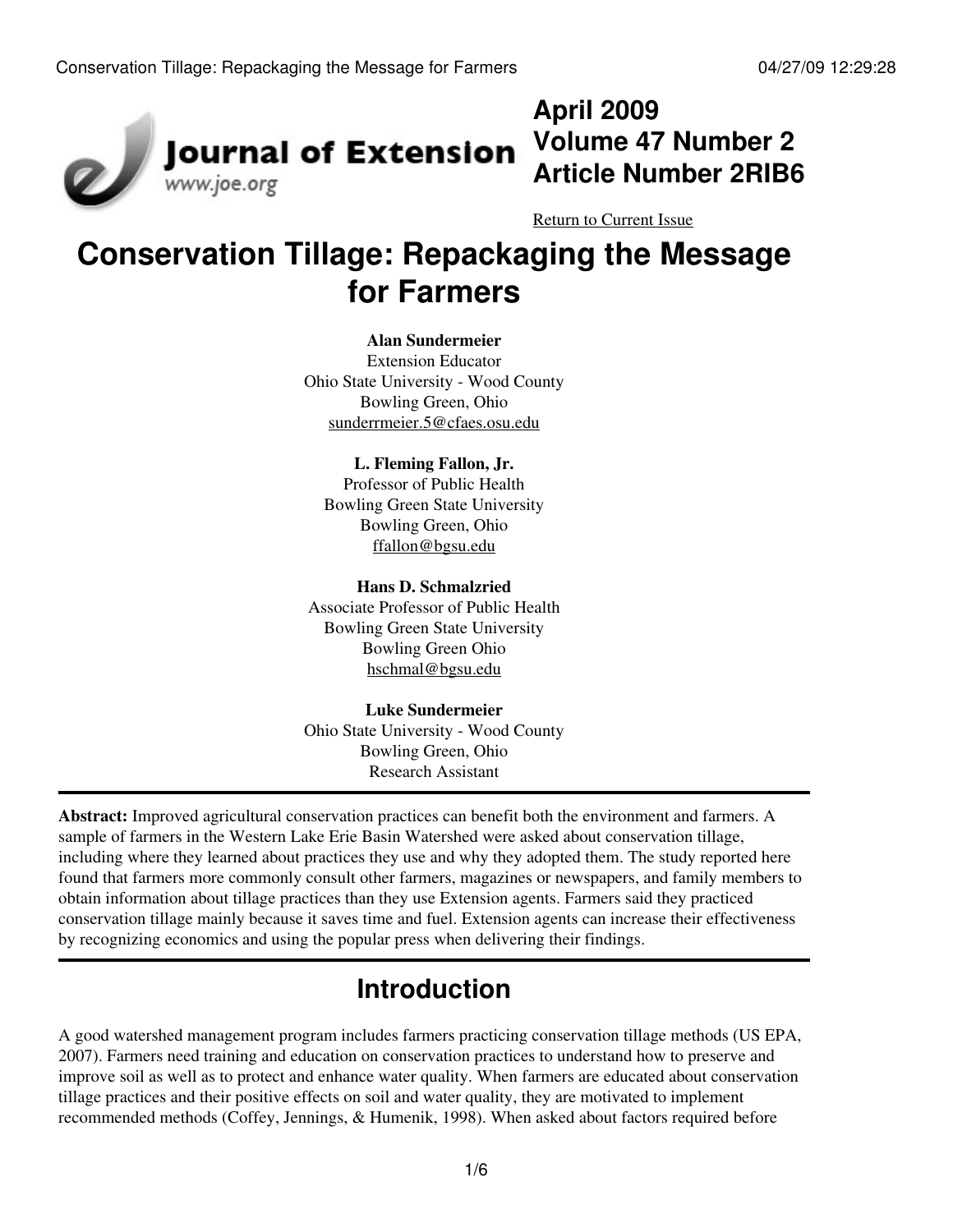

# **April 2009 Volume 47 Number 2 Article Number 2RIB6**

[Return to Current Issue](http://www.joe.org:80/joe/2009april/)

# **Conservation Tillage: Repackaging the Message for Farmers**

### **Alan Sundermeier**

Extension Educator Ohio State University - Wood County Bowling Green, Ohio [sunderrmeier.5@cfaes.osu.edu](mailto:sunderrmeier.5@cfaes.osu.edu)

### **L. Fleming Fallon, Jr.**

Professor of Public Health Bowling Green State University Bowling Green, Ohio [ffallon@bgsu.edu](mailto:ffallon@bgsu.edu)

### **Hans D. Schmalzried**

Associate Professor of Public Health Bowling Green State University Bowling Green Ohio [hschmal@bgsu.edu](mailto:hschmal@bgsu.edu)

#### **Luke Sundermeier** Ohio State University - Wood County

Bowling Green, Ohio Research Assistant

**Abstract:** Improved agricultural conservation practices can benefit both the environment and farmers. A sample of farmers in the Western Lake Erie Basin Watershed were asked about conservation tillage, including where they learned about practices they use and why they adopted them. The study reported here found that farmers more commonly consult other farmers, magazines or newspapers, and family members to obtain information about tillage practices than they use Extension agents. Farmers said they practiced conservation tillage mainly because it saves time and fuel. Extension agents can increase their effectiveness by recognizing economics and using the popular press when delivering their findings.

# **Introduction**

A good watershed management program includes farmers practicing conservation tillage methods (US EPA, 2007). Farmers need training and education on conservation practices to understand how to preserve and improve soil as well as to protect and enhance water quality. When farmers are educated about conservation tillage practices and their positive effects on soil and water quality, they are motivated to implement recommended methods (Coffey, Jennings, & Humenik, 1998). When asked about factors required before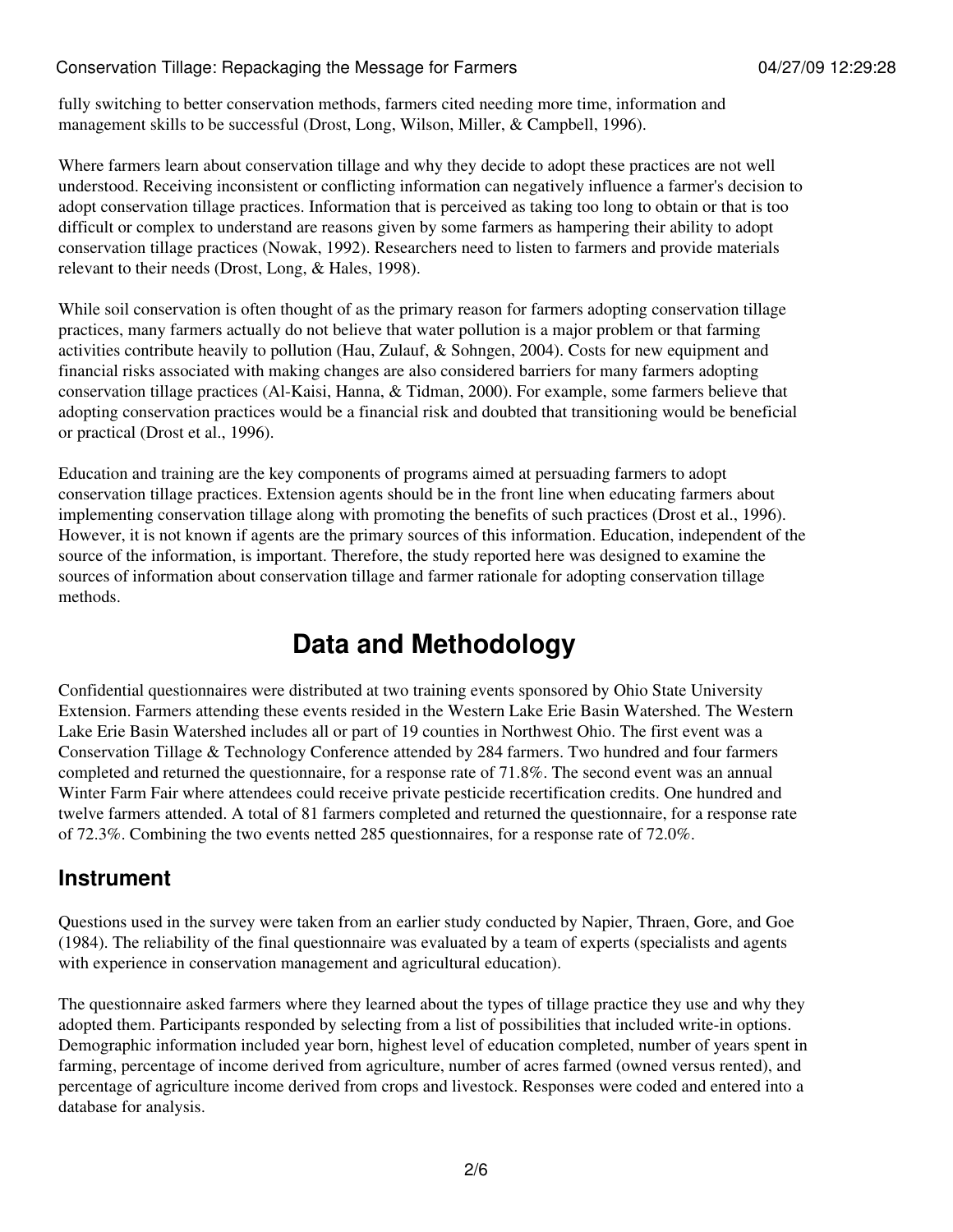fully switching to better conservation methods, farmers cited needing more time, information and management skills to be successful (Drost, Long, Wilson, Miller, & Campbell, 1996).

Where farmers learn about conservation tillage and why they decide to adopt these practices are not well understood. Receiving inconsistent or conflicting information can negatively influence a farmer's decision to adopt conservation tillage practices. Information that is perceived as taking too long to obtain or that is too difficult or complex to understand are reasons given by some farmers as hampering their ability to adopt conservation tillage practices (Nowak, 1992). Researchers need to listen to farmers and provide materials relevant to their needs (Drost, Long, & Hales, 1998).

While soil conservation is often thought of as the primary reason for farmers adopting conservation tillage practices, many farmers actually do not believe that water pollution is a major problem or that farming activities contribute heavily to pollution (Hau, Zulauf, & Sohngen, 2004). Costs for new equipment and financial risks associated with making changes are also considered barriers for many farmers adopting conservation tillage practices (Al-Kaisi, Hanna, & Tidman, 2000). For example, some farmers believe that adopting conservation practices would be a financial risk and doubted that transitioning would be beneficial or practical (Drost et al., 1996).

Education and training are the key components of programs aimed at persuading farmers to adopt conservation tillage practices. Extension agents should be in the front line when educating farmers about implementing conservation tillage along with promoting the benefits of such practices (Drost et al., 1996). However, it is not known if agents are the primary sources of this information. Education, independent of the source of the information, is important. Therefore, the study reported here was designed to examine the sources of information about conservation tillage and farmer rationale for adopting conservation tillage methods.

## **Data and Methodology**

Confidential questionnaires were distributed at two training events sponsored by Ohio State University Extension. Farmers attending these events resided in the Western Lake Erie Basin Watershed. The Western Lake Erie Basin Watershed includes all or part of 19 counties in Northwest Ohio. The first event was a Conservation Tillage & Technology Conference attended by 284 farmers. Two hundred and four farmers completed and returned the questionnaire, for a response rate of 71.8%. The second event was an annual Winter Farm Fair where attendees could receive private pesticide recertification credits. One hundred and twelve farmers attended. A total of 81 farmers completed and returned the questionnaire, for a response rate of 72.3%. Combining the two events netted 285 questionnaires, for a response rate of 72.0%.

## **Instrument**

Questions used in the survey were taken from an earlier study conducted by Napier, Thraen, Gore, and Goe (1984). The reliability of the final questionnaire was evaluated by a team of experts (specialists and agents with experience in conservation management and agricultural education).

The questionnaire asked farmers where they learned about the types of tillage practice they use and why they adopted them. Participants responded by selecting from a list of possibilities that included write-in options. Demographic information included year born, highest level of education completed, number of years spent in farming, percentage of income derived from agriculture, number of acres farmed (owned versus rented), and percentage of agriculture income derived from crops and livestock. Responses were coded and entered into a database for analysis.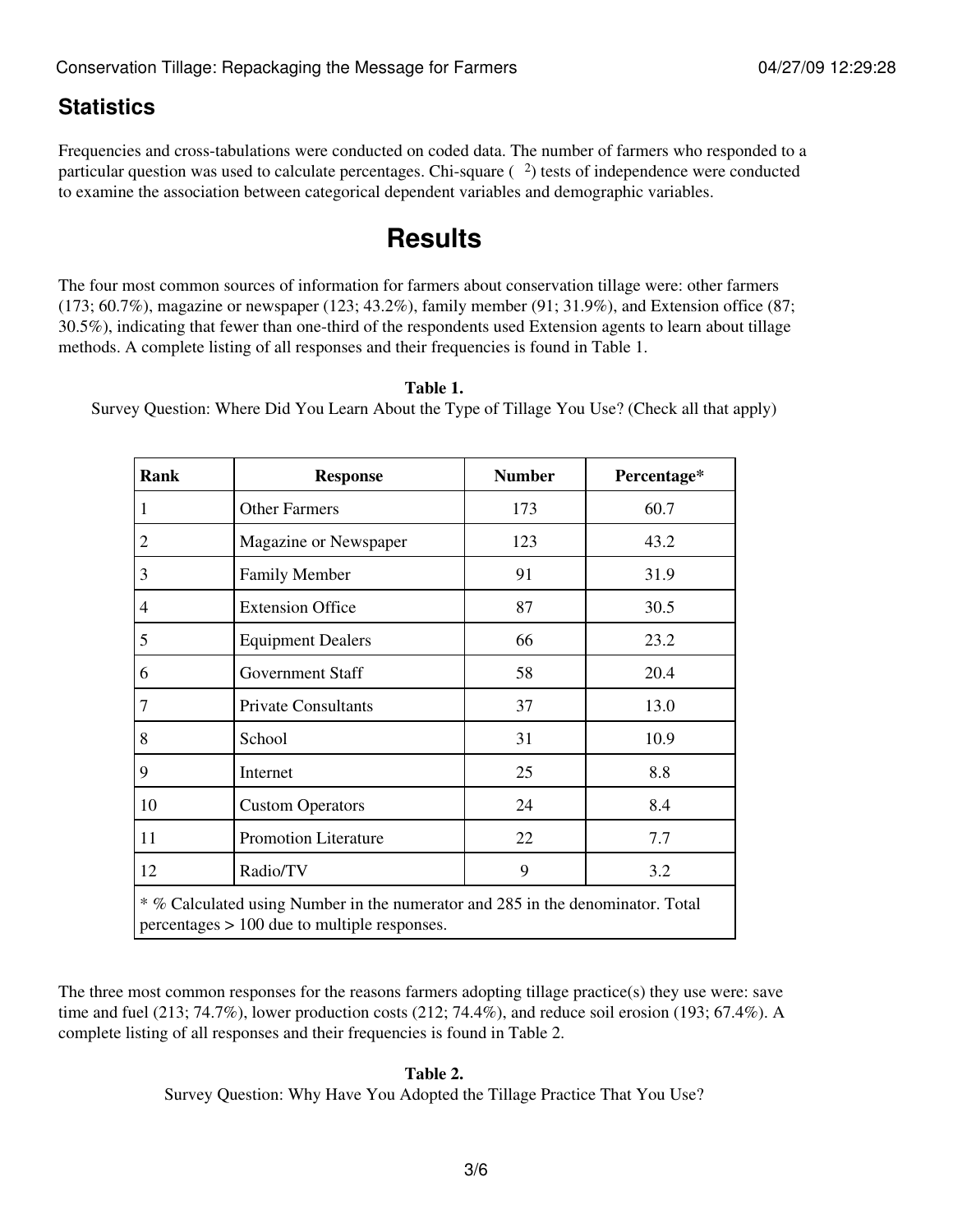## **Statistics**

Frequencies and cross-tabulations were conducted on coded data. The number of farmers who responded to a particular question was used to calculate percentages. Chi-square ( $\frac{2}{2}$ ) tests of independence were conducted to examine the association between categorical dependent variables and demographic variables.

## **Results**

The four most common sources of information for farmers about conservation tillage were: other farmers (173; 60.7%), magazine or newspaper (123; 43.2%), family member (91; 31.9%), and Extension office (87; 30.5%), indicating that fewer than one-third of the respondents used Extension agents to learn about tillage methods. A complete listing of all responses and their frequencies is found in Table 1.

#### **Table 1.**

Survey Question: Where Did You Learn About the Type of Tillage You Use? (Check all that apply)

| Rank                                                                                                                             | <b>Response</b>             | <b>Number</b> | Percentage* |  |
|----------------------------------------------------------------------------------------------------------------------------------|-----------------------------|---------------|-------------|--|
| 1                                                                                                                                | <b>Other Farmers</b>        | 173           | 60.7        |  |
| $\overline{2}$                                                                                                                   | Magazine or Newspaper       | 123           | 43.2        |  |
| 3                                                                                                                                | <b>Family Member</b>        | 91            | 31.9        |  |
| 4                                                                                                                                | <b>Extension Office</b>     | 87            | 30.5        |  |
| 5                                                                                                                                | <b>Equipment Dealers</b>    | 66            | 23.2        |  |
| 6                                                                                                                                | <b>Government Staff</b>     | 58            | 20.4        |  |
| $\overline{7}$                                                                                                                   | <b>Private Consultants</b>  | 37            | 13.0        |  |
| 8                                                                                                                                | School                      | 31            | 10.9        |  |
| 9                                                                                                                                | Internet                    | 25            | 8.8         |  |
| 10                                                                                                                               | <b>Custom Operators</b>     | 24            | 8.4         |  |
| 11                                                                                                                               | <b>Promotion Literature</b> | 22            | 7.7         |  |
| 12                                                                                                                               | Radio/TV                    | 9             | 3.2         |  |
| * % Calculated using Number in the numerator and 285 in the denominator. Total<br>$percentages$ > 100 due to multiple responses. |                             |               |             |  |

The three most common responses for the reasons farmers adopting tillage practice(s) they use were: save time and fuel (213; 74.7%), lower production costs (212; 74.4%), and reduce soil erosion (193; 67.4%). A complete listing of all responses and their frequencies is found in Table 2.

#### **Table 2.**

Survey Question: Why Have You Adopted the Tillage Practice That You Use?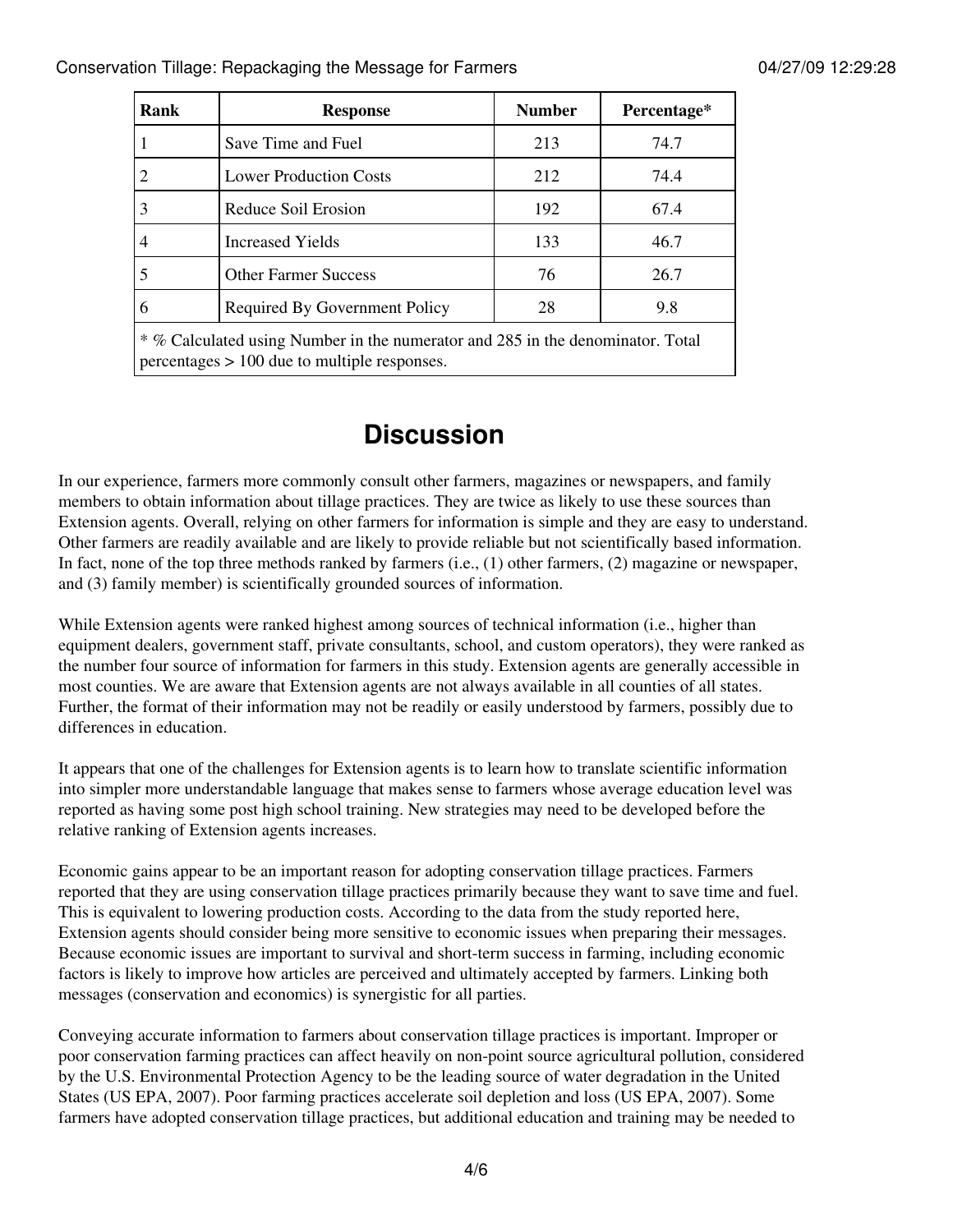| Rank                                                                                                                             | <b>Response</b>               | <b>Number</b> | Percentage* |  |
|----------------------------------------------------------------------------------------------------------------------------------|-------------------------------|---------------|-------------|--|
|                                                                                                                                  | Save Time and Fuel            | 213           | 74.7        |  |
|                                                                                                                                  | <b>Lower Production Costs</b> | 212           | 74.4        |  |
| 3                                                                                                                                | Reduce Soil Erosion           | 192           | 67.4        |  |
|                                                                                                                                  | <b>Increased Yields</b>       | 133           | 46.7        |  |
|                                                                                                                                  | <b>Other Farmer Success</b>   | 76            | 26.7        |  |
| 6                                                                                                                                | Required By Government Policy | 28            | 9.8         |  |
| * % Calculated using Number in the numerator and 285 in the denominator. Total<br>$percentages$ > 100 due to multiple responses. |                               |               |             |  |

## **Discussion**

In our experience, farmers more commonly consult other farmers, magazines or newspapers, and family members to obtain information about tillage practices. They are twice as likely to use these sources than Extension agents. Overall, relying on other farmers for information is simple and they are easy to understand. Other farmers are readily available and are likely to provide reliable but not scientifically based information. In fact, none of the top three methods ranked by farmers (i.e., (1) other farmers, (2) magazine or newspaper, and (3) family member) is scientifically grounded sources of information.

While Extension agents were ranked highest among sources of technical information (i.e., higher than equipment dealers, government staff, private consultants, school, and custom operators), they were ranked as the number four source of information for farmers in this study. Extension agents are generally accessible in most counties. We are aware that Extension agents are not always available in all counties of all states. Further, the format of their information may not be readily or easily understood by farmers, possibly due to differences in education.

It appears that one of the challenges for Extension agents is to learn how to translate scientific information into simpler more understandable language that makes sense to farmers whose average education level was reported as having some post high school training. New strategies may need to be developed before the relative ranking of Extension agents increases.

Economic gains appear to be an important reason for adopting conservation tillage practices. Farmers reported that they are using conservation tillage practices primarily because they want to save time and fuel. This is equivalent to lowering production costs. According to the data from the study reported here, Extension agents should consider being more sensitive to economic issues when preparing their messages. Because economic issues are important to survival and short-term success in farming, including economic factors is likely to improve how articles are perceived and ultimately accepted by farmers. Linking both messages (conservation and economics) is synergistic for all parties.

Conveying accurate information to farmers about conservation tillage practices is important. Improper or poor conservation farming practices can affect heavily on non-point source agricultural pollution, considered by the U.S. Environmental Protection Agency to be the leading source of water degradation in the United States (US EPA, 2007). Poor farming practices accelerate soil depletion and loss (US EPA, 2007). Some farmers have adopted conservation tillage practices, but additional education and training may be needed to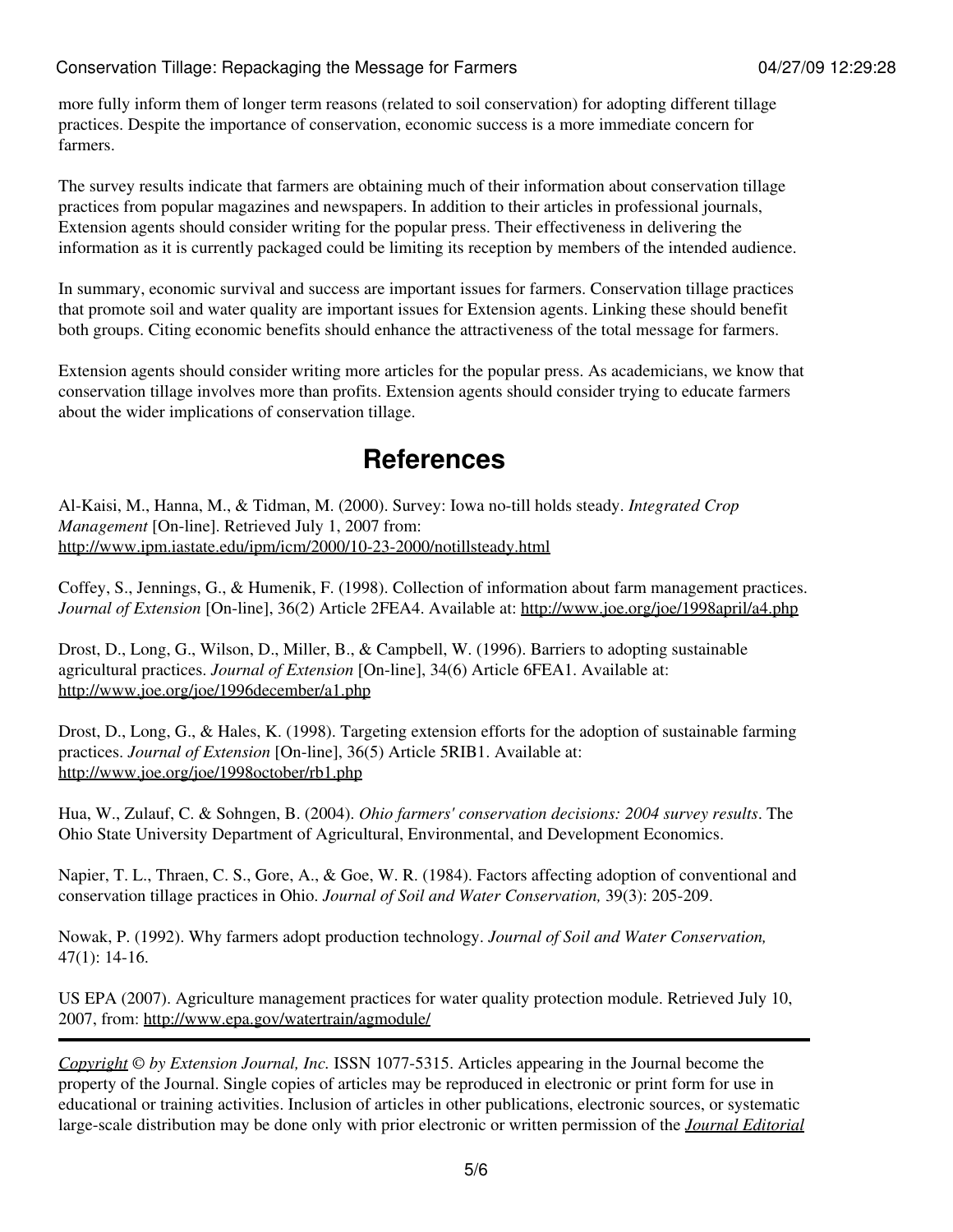more fully inform them of longer term reasons (related to soil conservation) for adopting different tillage practices. Despite the importance of conservation, economic success is a more immediate concern for farmers.

The survey results indicate that farmers are obtaining much of their information about conservation tillage practices from popular magazines and newspapers. In addition to their articles in professional journals, Extension agents should consider writing for the popular press. Their effectiveness in delivering the information as it is currently packaged could be limiting its reception by members of the intended audience.

In summary, economic survival and success are important issues for farmers. Conservation tillage practices that promote soil and water quality are important issues for Extension agents. Linking these should benefit both groups. Citing economic benefits should enhance the attractiveness of the total message for farmers.

Extension agents should consider writing more articles for the popular press. As academicians, we know that conservation tillage involves more than profits. Extension agents should consider trying to educate farmers about the wider implications of conservation tillage.

## **References**

Al-Kaisi, M., Hanna, M., & Tidman, M. (2000). Survey: Iowa no-till holds steady. *Integrated Crop Management* [On-line]. Retrieved July 1, 2007 from: <http://www.ipm.iastate.edu/ipm/icm/2000/10-23-2000/notillsteady.html>

Coffey, S., Jennings, G., & Humenik, F. (1998). Collection of information about farm management practices. *Journal of Extension* [On-line], 36(2) Article 2FEA4. Available at: <http://www.joe.org/joe/1998april/a4.php>

Drost, D., Long, G., Wilson, D., Miller, B., & Campbell, W. (1996). Barriers to adopting sustainable agricultural practices. *Journal of Extension* [On-line], 34(6) Article 6FEA1. Available at: <http://www.joe.org/joe/1996december/a1.php>

Drost, D., Long, G., & Hales, K. (1998). Targeting extension efforts for the adoption of sustainable farming practices. *Journal of Extension* [On-line], 36(5) Article 5RIB1. Available at: <http://www.joe.org/joe/1998october/rb1.php>

Hua, W., Zulauf, C. & Sohngen, B. (2004). *Ohio farmers' conservation decisions: 2004 survey results*. The Ohio State University Department of Agricultural, Environmental, and Development Economics.

Napier, T. L., Thraen, C. S., Gore, A., & Goe, W. R. (1984). Factors affecting adoption of conventional and conservation tillage practices in Ohio. *Journal of Soil and Water Conservation,* 39(3): 205-209.

Nowak, P. (1992). Why farmers adopt production technology. *Journal of Soil and Water Conservation,* 47(1): 14-16.

US EPA (2007). Agriculture management practices for water quality protection module. Retrieved July 10, 2007, from:<http://www.epa.gov/watertrain/agmodule/>

*[Copyright](http://www.joe.org:80/joe/2009april/../../copyright.html) © by Extension Journal, Inc.* ISSN 1077-5315. Articles appearing in the Journal become the property of the Journal. Single copies of articles may be reproduced in electronic or print form for use in educational or training activities. Inclusion of articles in other publications, electronic sources, or systematic large-scale distribution may be done only with prior electronic or written permission of the *[Journal Editorial](http://www.joe.org:80/joe/2009april/../../joe-jeo.html)*